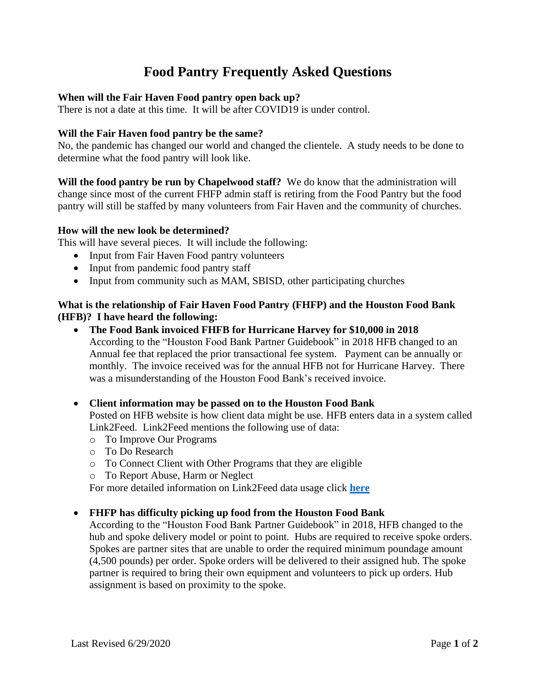# **Food Pantry Frequently Asked Questions**

## **When will the Fair Haven Food pantry open back up?**

There is not a date at this time. It will be after COVID19 is under control.

## **Will the Fair Haven food pantry be the same?**

No, the pandemic has changed our world and changed the clientele. A study needs to be done to determine what the food pantry will look like.

**Will the food pantry be run by Chapelwood staff?** We do know that the administration will change since most of the current FHFP admin staff is retiring from the Food Pantry but the food pantry will still be staffed by many volunteers from Fair Haven and the community of churches.

## **How will the new look be determined?**

This will have several pieces. It will include the following:

- Input from Fair Haven Food pantry volunteers
- Input from pandemic food pantry staff
- Input from community such as MAM, SBISD, other participating churches

## **What is the relationship of Fair Haven Food Pantry (FHFP) and the Houston Food Bank (HFB)? I have heard the following:**

• **The Food Bank invoiced FHFB for Hurricane Harvey for \$10,000 in 2018** According to the "Houston Food Bank Partner Guidebook" in 2018 HFB changed to an Annual fee that replaced the prior transactional fee system. Payment can be annually or monthly. The invoice received was for the annual HFB not for Hurricane Harvey. There was a misunderstanding of the Houston Food Bank's received invoice.

## • **Client information may be passed on to the Houston Food Bank**

Posted on HFB website is how client data might be use. HFB enters data in a system called Link2Feed. Link2Feed mentions the following use of data:

- o To Improve Our Programs
- o To Do Research
- o To Connect Client with Other Programs that they are eligible
- o To Report Abuse, Harm or Neglect

For more detailed information on Link2Feed data usage click **[here](https://www.houstonfoodbank.org/wp-content/uploads/2018/08/agencyservices_link2feedfaq_082718.pdf#page=1)**

## • **FHFP has difficulty picking up food from the Houston Food Bank**

According to the "Houston Food Bank Partner Guidebook" in 2018, HFB changed to the hub and spoke delivery model or point to point. Hubs are required to receive spoke orders. Spokes are partner sites that are unable to order the required minimum poundage amount (4,500 pounds) per order. Spoke orders will be delivered to their assigned hub. The spoke partner is required to bring their own equipment and volunteers to pick up orders. Hub assignment is based on proximity to the spoke.